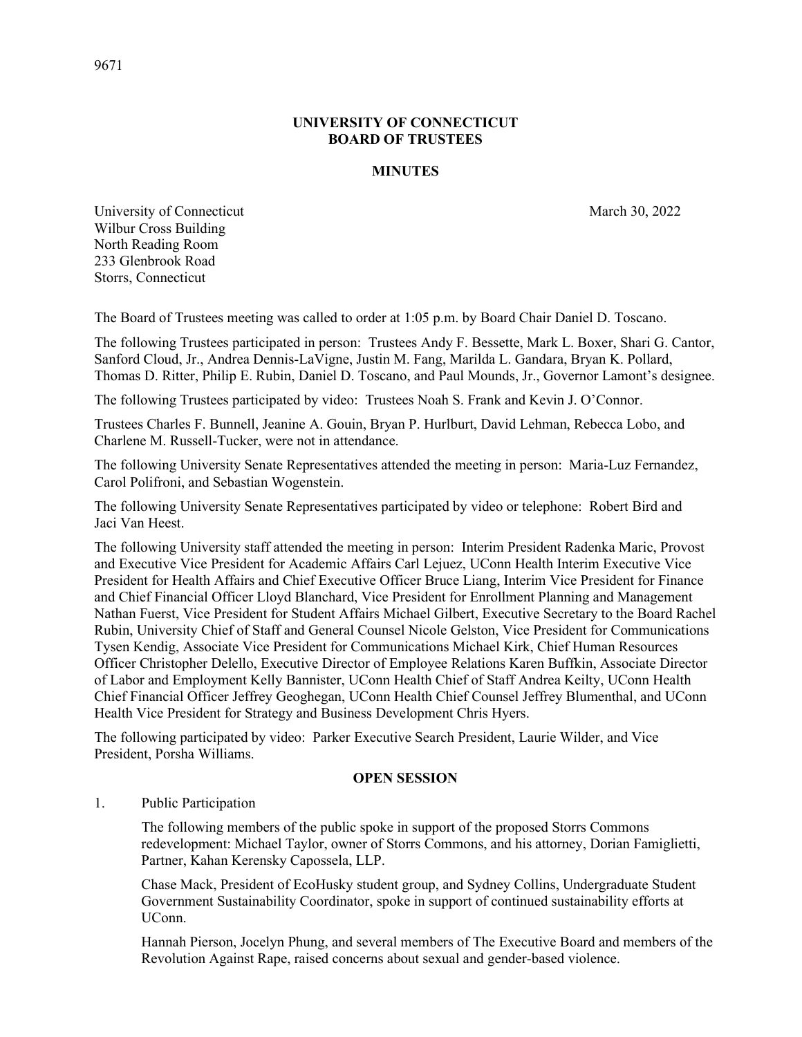## **UNIVERSITY OF CONNECTICUT BOARD OF TRUSTEES**

## **MINUTES**

University of Connecticut March 30, 2022 Wilbur Cross Building North Reading Room 233 Glenbrook Road Storrs, Connecticut

The Board of Trustees meeting was called to order at 1:05 p.m. by Board Chair Daniel D. Toscano.

The following Trustees participated in person: Trustees Andy F. Bessette, Mark L. Boxer, Shari G. Cantor, Sanford Cloud, Jr., Andrea Dennis-LaVigne, Justin M. Fang, Marilda L. Gandara, Bryan K. Pollard, Thomas D. Ritter, Philip E. Rubin, Daniel D. Toscano, and Paul Mounds, Jr., Governor Lamont's designee.

The following Trustees participated by video: Trustees Noah S. Frank and Kevin J. O'Connor.

Trustees Charles F. Bunnell, Jeanine A. Gouin, Bryan P. Hurlburt, David Lehman, Rebecca Lobo, and Charlene M. Russell-Tucker, were not in attendance.

The following University Senate Representatives attended the meeting in person: Maria-Luz Fernandez, Carol Polifroni, and Sebastian Wogenstein.

The following University Senate Representatives participated by video or telephone: Robert Bird and Jaci Van Heest.

The following University staff attended the meeting in person: Interim President Radenka Maric, Provost and Executive Vice President for Academic Affairs Carl Lejuez, UConn Health Interim Executive Vice President for Health Affairs and Chief Executive Officer Bruce Liang, Interim Vice President for Finance and Chief Financial Officer Lloyd Blanchard, Vice President for Enrollment Planning and Management Nathan Fuerst, Vice President for Student Affairs Michael Gilbert, Executive Secretary to the Board Rachel Rubin, University Chief of Staff and General Counsel Nicole Gelston, Vice President for Communications Tysen Kendig, Associate Vice President for Communications Michael Kirk, Chief Human Resources Officer Christopher Delello, Executive Director of Employee Relations Karen Buffkin, Associate Director of Labor and Employment Kelly Bannister, UConn Health Chief of Staff Andrea Keilty, UConn Health Chief Financial Officer Jeffrey Geoghegan, UConn Health Chief Counsel Jeffrey Blumenthal, and UConn Health Vice President for Strategy and Business Development Chris Hyers.

The following participated by video: Parker Executive Search President, Laurie Wilder, and Vice President, Porsha Williams.

#### **OPEN SESSION**

1. Public Participation

The following members of the public spoke in support of the proposed Storrs Commons redevelopment: Michael Taylor, owner of Storrs Commons, and his attorney, Dorian Famiglietti, Partner, Kahan Kerensky Capossela, LLP.

Chase Mack, President of EcoHusky student group, and Sydney Collins, Undergraduate Student Government Sustainability Coordinator, spoke in support of continued sustainability efforts at UConn.

Hannah Pierson, Jocelyn Phung, and several members of The Executive Board and members of the Revolution Against Rape, raised concerns about sexual and gender-based violence.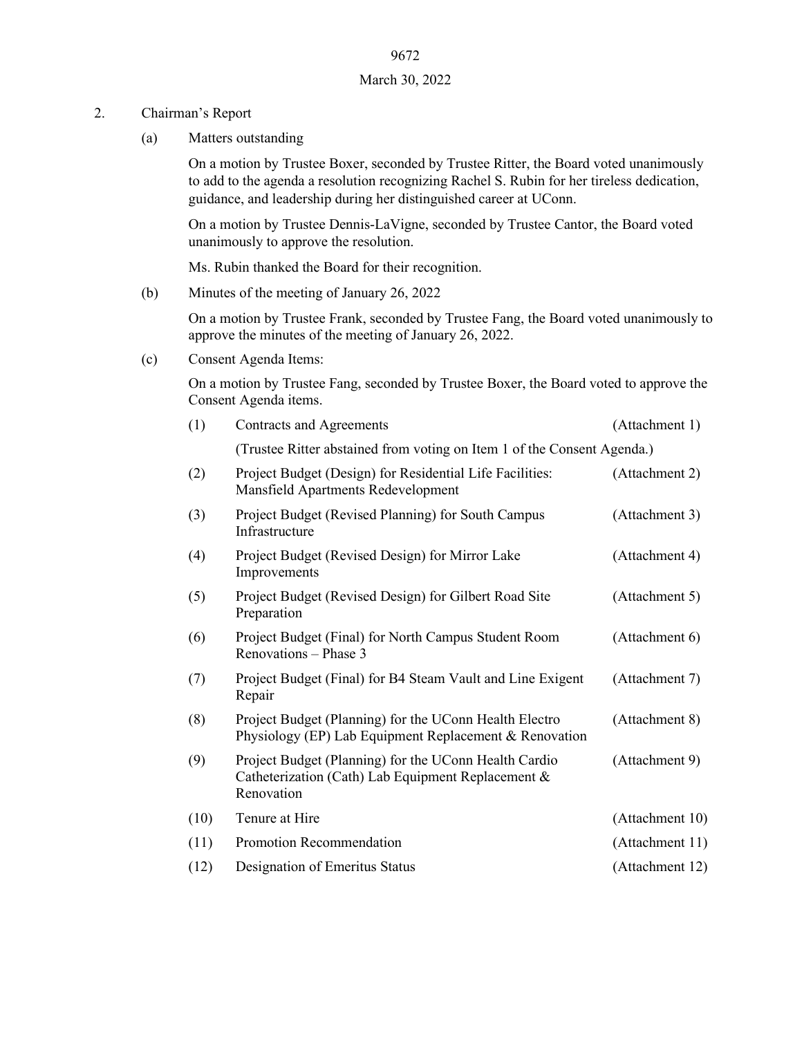### 2. Chairman's Report

(a) Matters outstanding

On a motion by Trustee Boxer, seconded by Trustee Ritter, the Board voted unanimously to add to the agenda a resolution recognizing Rachel S. Rubin for her tireless dedication, guidance, and leadership during her distinguished career at UConn.

On a motion by Trustee Dennis-LaVigne, seconded by Trustee Cantor, the Board voted unanimously to approve the resolution.

Ms. Rubin thanked the Board for their recognition.

(b) Minutes of the meeting of January 26, 2022

On a motion by Trustee Frank, seconded by Trustee Fang, the Board voted unanimously to approve the minutes of the meeting of January 26, 2022.

(c) Consent Agenda Items:

On a motion by Trustee Fang, seconded by Trustee Boxer, the Board voted to approve the Consent Agenda items.

| (1)  | <b>Contracts and Agreements</b>                                                                                           | (Attachment 1)  |  |  |  |
|------|---------------------------------------------------------------------------------------------------------------------------|-----------------|--|--|--|
|      | (Trustee Ritter abstained from voting on Item 1 of the Consent Agenda.)                                                   |                 |  |  |  |
| (2)  | Project Budget (Design) for Residential Life Facilities:<br>Mansfield Apartments Redevelopment                            | (Attachment 2)  |  |  |  |
| (3)  | Project Budget (Revised Planning) for South Campus<br>Infrastructure                                                      | (Attachment 3)  |  |  |  |
| (4)  | Project Budget (Revised Design) for Mirror Lake<br>Improvements                                                           | (Attachment 4)  |  |  |  |
| (5)  | Project Budget (Revised Design) for Gilbert Road Site<br>Preparation                                                      | (Attachment 5)  |  |  |  |
| (6)  | Project Budget (Final) for North Campus Student Room<br>Renovations - Phase 3                                             | (Attachment 6)  |  |  |  |
| (7)  | Project Budget (Final) for B4 Steam Vault and Line Exigent<br>Repair                                                      | (Attachment 7)  |  |  |  |
| (8)  | Project Budget (Planning) for the UConn Health Electro<br>Physiology (EP) Lab Equipment Replacement & Renovation          | (Attachment 8)  |  |  |  |
| (9)  | Project Budget (Planning) for the UConn Health Cardio<br>Catheterization (Cath) Lab Equipment Replacement &<br>Renovation | (Attachment 9)  |  |  |  |
| (10) | Tenure at Hire                                                                                                            | (Attachment 10) |  |  |  |
| (11) | Promotion Recommendation                                                                                                  | (Attachment 11) |  |  |  |
| (12) | Designation of Emeritus Status                                                                                            | (Attachment 12) |  |  |  |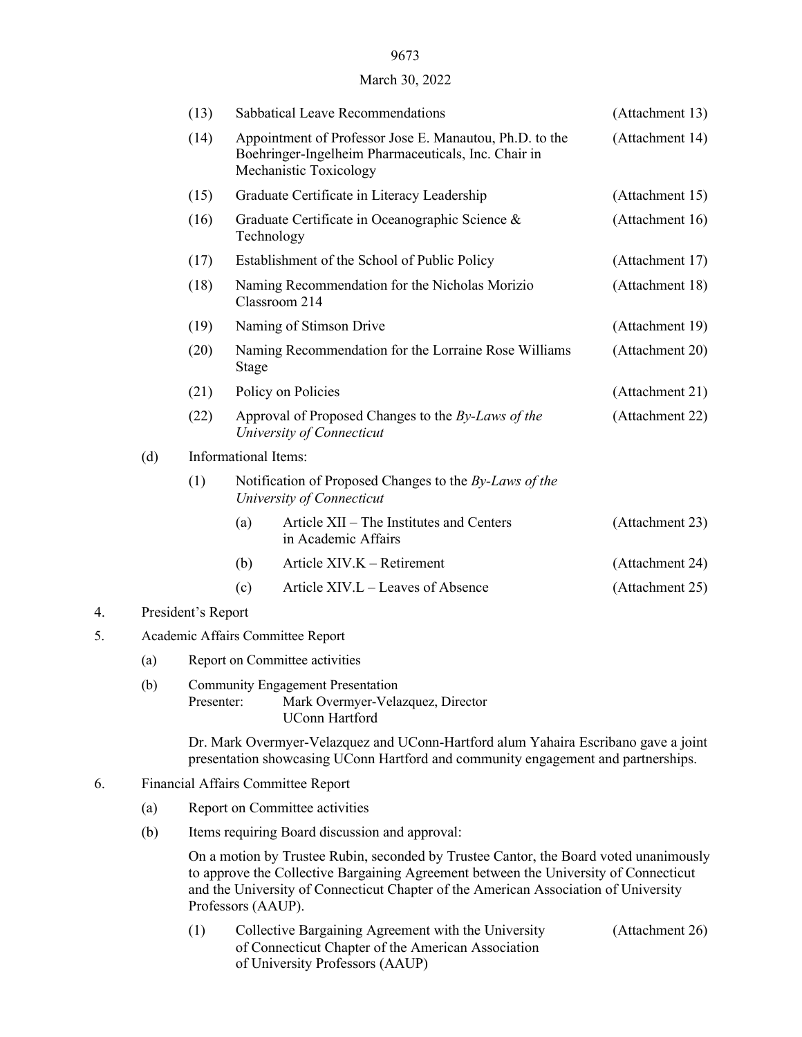## 9673

#### March 30, 2022

|    |     | (13)                              |                                                                                     | Sabbatical Leave Recommendations                                                                                                         | (Attachment 13) |  |  |
|----|-----|-----------------------------------|-------------------------------------------------------------------------------------|------------------------------------------------------------------------------------------------------------------------------------------|-----------------|--|--|
|    |     | (14)                              |                                                                                     | Appointment of Professor Jose E. Manautou, Ph.D. to the<br>Boehringer-Ingelheim Pharmaceuticals, Inc. Chair in<br>Mechanistic Toxicology | (Attachment 14) |  |  |
|    |     | (15)                              |                                                                                     | Graduate Certificate in Literacy Leadership                                                                                              | (Attachment 15) |  |  |
|    |     | (16)                              |                                                                                     | Graduate Certificate in Oceanographic Science &<br>Technology                                                                            | (Attachment 16) |  |  |
|    |     | (17)                              |                                                                                     | Establishment of the School of Public Policy                                                                                             | (Attachment 17) |  |  |
|    |     | (18)                              | Naming Recommendation for the Nicholas Morizio<br>Classroom 214                     | (Attachment 18)                                                                                                                          |                 |  |  |
|    |     | (19)                              |                                                                                     | Naming of Stimson Drive                                                                                                                  | (Attachment 19) |  |  |
|    |     | (20)                              | Stage                                                                               | Naming Recommendation for the Lorraine Rose Williams                                                                                     | (Attachment 20) |  |  |
|    |     | (21)                              |                                                                                     | Policy on Policies                                                                                                                       | (Attachment 21) |  |  |
|    |     | (22)                              |                                                                                     | Approval of Proposed Changes to the By-Laws of the<br>University of Connecticut                                                          | (Attachment 22) |  |  |
|    | (d) | Informational Items:              |                                                                                     |                                                                                                                                          |                 |  |  |
|    |     | (1)                               | Notification of Proposed Changes to the By-Laws of the<br>University of Connecticut |                                                                                                                                          |                 |  |  |
|    |     |                                   | (a)                                                                                 | Article XII – The Institutes and Centers<br>in Academic Affairs                                                                          | (Attachment 23) |  |  |
|    |     |                                   | (b)                                                                                 | Article XIV.K - Retirement                                                                                                               | (Attachment 24) |  |  |
|    |     |                                   | (c)                                                                                 | Article XIV.L – Leaves of Absence                                                                                                        | (Attachment 25) |  |  |
| 4. |     | President's Report                |                                                                                     |                                                                                                                                          |                 |  |  |
| 5. |     | Academic Affairs Committee Report |                                                                                     |                                                                                                                                          |                 |  |  |
|    | (a) | Report on Committee activities    |                                                                                     |                                                                                                                                          |                 |  |  |
|    | (b) | Presenter:                        |                                                                                     | <b>Community Engagement Presentation</b><br>Mark Overmyer-Velazquez, Director<br><b>UConn Hartford</b>                                   |                 |  |  |

Dr. Mark Overmyer-Velazquez and UConn-Hartford alum Yahaira Escribano gave a joint presentation showcasing UConn Hartford and community engagement and partnerships.

## 6. Financial Affairs Committee Report

- (a) Report on Committee activities
- (b) Items requiring Board discussion and approval:

On a motion by Trustee Rubin, seconded by Trustee Cantor, the Board voted unanimously to approve the Collective Bargaining Agreement between the University of Connecticut and the University of Connecticut Chapter of the American Association of University Professors (AAUP).

(1) Collective Bargaining Agreement with the University (Attachment 26) of Connecticut Chapter of the American Association of University Professors (AAUP)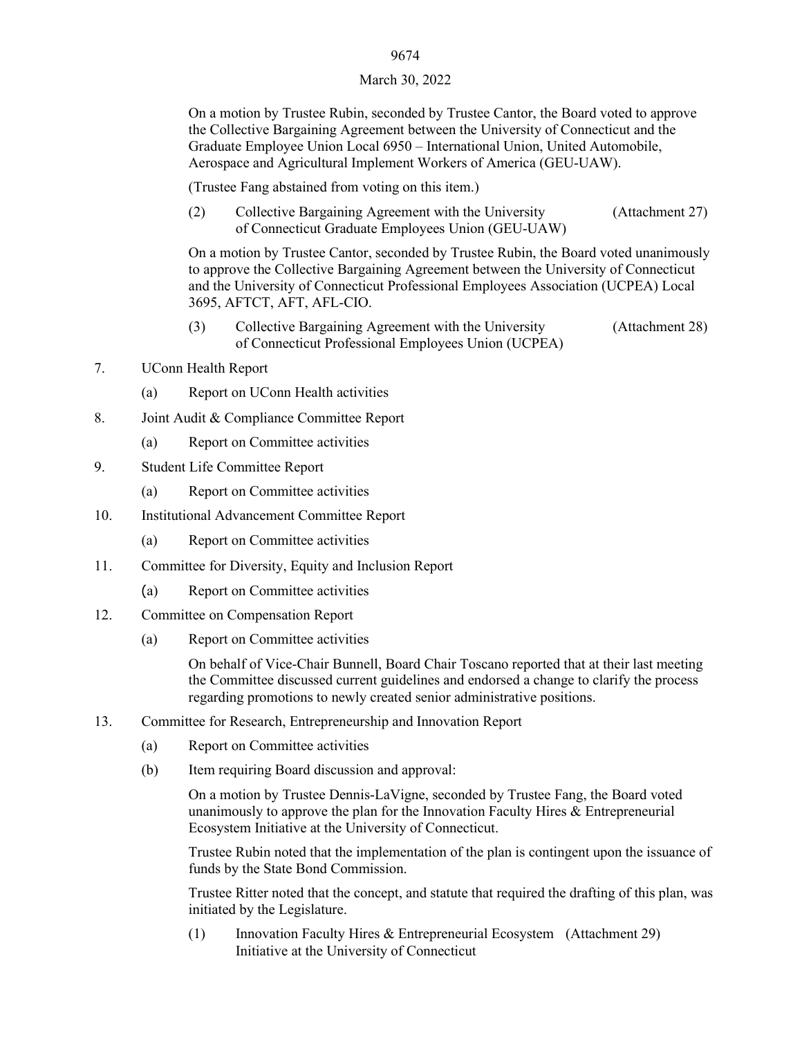### 9674

#### March 30, 2022

On a motion by Trustee Rubin, seconded by Trustee Cantor, the Board voted to approve the Collective Bargaining Agreement between the University of Connecticut and the Graduate Employee Union Local 6950 – International Union, United Automobile, Aerospace and Agricultural Implement Workers of America (GEU-UAW).

(Trustee Fang abstained from voting on this item.)

(2) Collective Bargaining Agreement with the University (Attachment 27) of Connecticut Graduate Employees Union (GEU-UAW)

On a motion by Trustee Cantor, seconded by Trustee Rubin, the Board voted unanimously to approve the Collective Bargaining Agreement between the University of Connecticut and the University of Connecticut Professional Employees Association (UCPEA) Local 3695, AFTCT, AFT, AFL-CIO.

- (3) Collective Bargaining Agreement with the University (Attachment 28) of Connecticut Professional Employees Union (UCPEA)
- 7. UConn Health Report
	- (a) Report on UConn Health activities
- 8. Joint Audit & Compliance Committee Report
	- (a) Report on Committee activities
- 9. Student Life Committee Report
	- (a) Report on Committee activities
- 10. Institutional Advancement Committee Report
	- (a) Report on Committee activities
- 11. Committee for Diversity, Equity and Inclusion Report
	- (a) Report on Committee activities
- 12. Committee on Compensation Report
	- (a) Report on Committee activities

On behalf of Vice-Chair Bunnell, Board Chair Toscano reported that at their last meeting the Committee discussed current guidelines and endorsed a change to clarify the process regarding promotions to newly created senior administrative positions.

- 13. Committee for Research, Entrepreneurship and Innovation Report
	- (a) Report on Committee activities
	- (b) Item requiring Board discussion and approval:

On a motion by Trustee Dennis-LaVigne, seconded by Trustee Fang, the Board voted unanimously to approve the plan for the Innovation Faculty Hires & Entrepreneurial Ecosystem Initiative at the University of Connecticut.

Trustee Rubin noted that the implementation of the plan is contingent upon the issuance of funds by the State Bond Commission.

Trustee Ritter noted that the concept, and statute that required the drafting of this plan, was initiated by the Legislature.

(1) Innovation Faculty Hires & Entrepreneurial Ecosystem (Attachment 29) Initiative at the University of Connecticut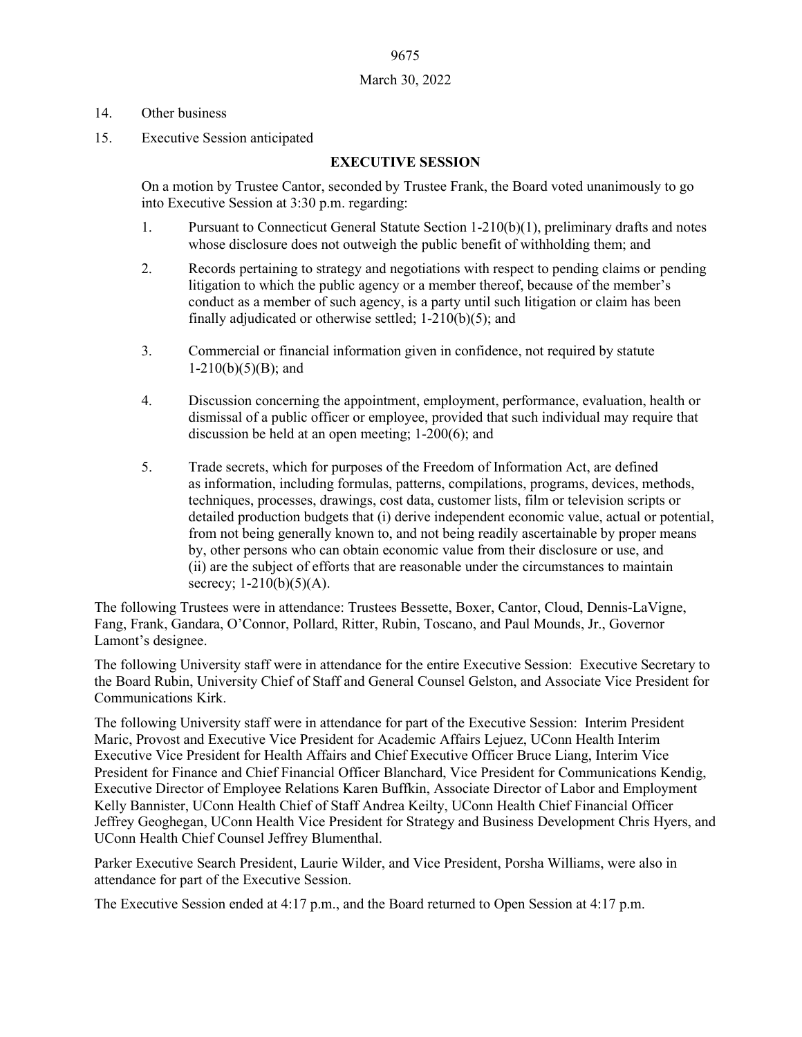# 9675 March 30, 2022

### 14. Other business

15. Executive Session anticipated

## **EXECUTIVE SESSION**

On a motion by Trustee Cantor, seconded by Trustee Frank, the Board voted unanimously to go into Executive Session at 3:30 p.m. regarding:

- 1. Pursuant to Connecticut General Statute Section 1-210(b)(1), preliminary drafts and notes whose disclosure does not outweigh the public benefit of withholding them; and
- 2. Records pertaining to strategy and negotiations with respect to pending claims or pending litigation to which the public agency or a member thereof, because of the member's conduct as a member of such agency, is a party until such litigation or claim has been finally adjudicated or otherwise settled; 1-210(b)(5); and
- 3. Commercial or financial information given in confidence, not required by statute  $1-210(b)(5)(B)$ ; and
- 4. Discussion concerning the appointment, employment, performance, evaluation, health or dismissal of a public officer or employee, provided that such individual may require that discussion be held at an open meeting; 1-200(6); and
- 5. Trade secrets, which for purposes of the Freedom of Information Act, are defined as information, including formulas, patterns, compilations, programs, devices, methods, techniques, processes, drawings, cost data, customer lists, film or television scripts or detailed production budgets that (i) derive independent economic value, actual or potential, from not being generally known to, and not being readily ascertainable by proper means by, other persons who can obtain economic value from their disclosure or use, and (ii) are the subject of efforts that are reasonable under the circumstances to maintain secrecy;  $1-210(b)(5)(A)$ .

The following Trustees were in attendance: Trustees Bessette, Boxer, Cantor, Cloud, Dennis-LaVigne, Fang, Frank, Gandara, O'Connor, Pollard, Ritter, Rubin, Toscano, and Paul Mounds, Jr., Governor Lamont's designee.

The following University staff were in attendance for the entire Executive Session: Executive Secretary to the Board Rubin, University Chief of Staff and General Counsel Gelston, and Associate Vice President for Communications Kirk.

The following University staff were in attendance for part of the Executive Session: Interim President Maric, Provost and Executive Vice President for Academic Affairs Lejuez, UConn Health Interim Executive Vice President for Health Affairs and Chief Executive Officer Bruce Liang, Interim Vice President for Finance and Chief Financial Officer Blanchard, Vice President for Communications Kendig, Executive Director of Employee Relations Karen Buffkin, Associate Director of Labor and Employment Kelly Bannister, UConn Health Chief of Staff Andrea Keilty, UConn Health Chief Financial Officer Jeffrey Geoghegan, UConn Health Vice President for Strategy and Business Development Chris Hyers, and UConn Health Chief Counsel Jeffrey Blumenthal.

Parker Executive Search President, Laurie Wilder, and Vice President, Porsha Williams, were also in attendance for part of the Executive Session.

The Executive Session ended at 4:17 p.m., and the Board returned to Open Session at 4:17 p.m.